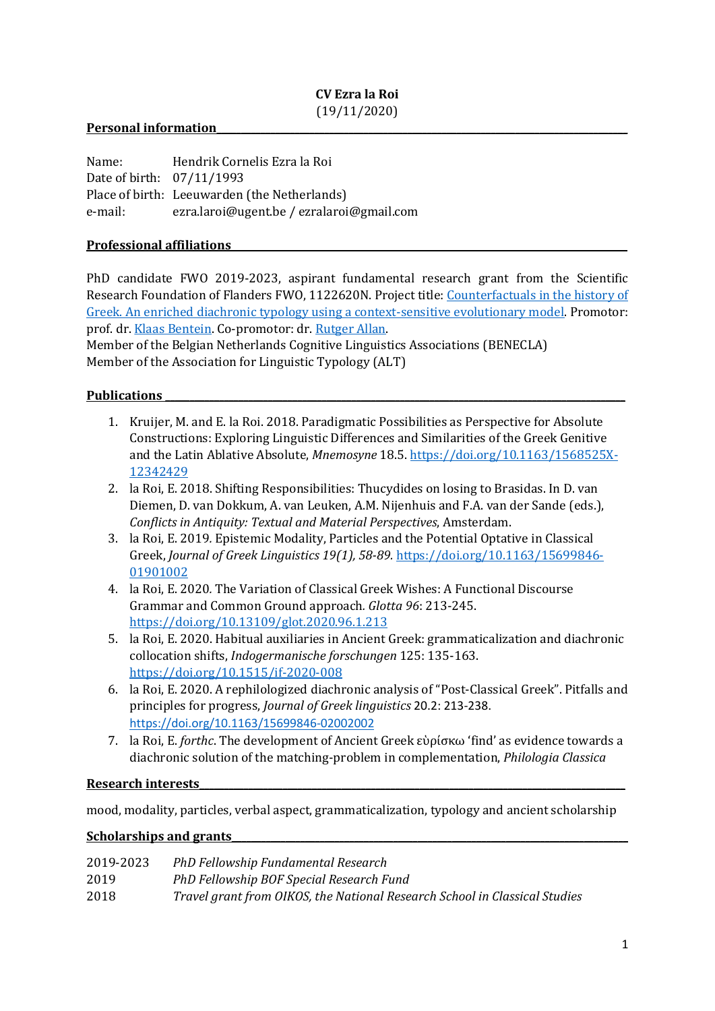# CV Ezra la Roi (19/11/2020)

## Personal information

| Name:                     | Hendrik Cornelis Ezra la Roi                 |
|---------------------------|----------------------------------------------|
| Date of birth: 07/11/1993 |                                              |
|                           | Place of birth: Leeuwarden (the Netherlands) |
| e-mail:                   | ezra.laroi@ugent.be / ezralaroi@gmail.com    |

## Professional affiliations

PhD candidate FWO 2019-2023, aspirant fundamental research grant from the Scientific Research Foundation of Flanders FWO, 1122620N. Project title: Counterfactuals in the history of Greek. An enriched diachronic typology using a context-sensitive evolutionary model. Promotor: prof. dr. Klaas Bentein. Co-promotor: dr. Rutger Allan.

Member of the Belgian Netherlands Cognitive Linguistics Associations (BENECLA) Member of the Association for Linguistic Typology (ALT)

## Publications

- 1. Kruijer, M. and E. la Roi. 2018. Paradigmatic Possibilities as Perspective for Absolute Constructions: Exploring Linguistic Differences and Similarities of the Greek Genitive and the Latin Ablative Absolute, Mnemosyne 18.5. https://doi.org/10.1163/1568525X-12342429
- 2. la Roi, E. 2018. Shifting Responsibilities: Thucydides on losing to Brasidas. In D. van Diemen, D. van Dokkum, A. van Leuken, A.M. Nijenhuis and F.A. van der Sande (eds.), Conflicts in Antiquity: Textual and Material Perspectives, Amsterdam.
- 3. la Roi, E. 2019. Epistemic Modality, Particles and the Potential Optative in Classical Greek, Journal of Greek Linguistics 19(1), 58-89. https://doi.org/10.1163/15699846- 01901002
- 4. la Roi, E. 2020. The Variation of Classical Greek Wishes: A Functional Discourse Grammar and Common Ground approach. Glotta 96: 213-245. https://doi.org/10.13109/glot.2020.96.1.213
- 5. la Roi, E. 2020. Habitual auxiliaries in Ancient Greek: grammaticalization and diachronic collocation shifts, Indogermanische forschungen 125: 135-163. https://doi.org/10.1515/if-2020-008
- 6. la Roi, E. 2020. A rephilologized diachronic analysis of "Post-Classical Greek". Pitfalls and principles for progress, Journal of Greek linguistics 20.2: 213-238. https://doi.org/10.1163/15699846-02002002
- 7. la Roi, E. forthc. The development of Ancient Greek εὑρίσκω 'find' as evidence towards a diachronic solution of the matching-problem in complementation, Philologia Classica

### Research interests\_\_\_\_\_\_\_\_\_\_\_\_\_\_\_\_\_\_\_\_\_\_\_\_\_\_\_\_\_\_\_\_\_\_\_\_\_\_\_\_\_\_\_\_\_\_\_\_\_\_\_\_\_\_\_\_\_\_\_\_\_\_\_\_\_\_\_\_\_\_\_\_\_\_\_\_\_\_\_\_\_\_\_\_\_\_\_

mood, modality, particles, verbal aspect, grammaticalization, typology and ancient scholarship

## Scholarships and grants

| 2019-2023 | PhD Fellowship Fundamental Research                                        |
|-----------|----------------------------------------------------------------------------|
| 2019      | PhD Fellowship BOF Special Research Fund                                   |
| 2018      | Travel grant from OIKOS, the National Research School in Classical Studies |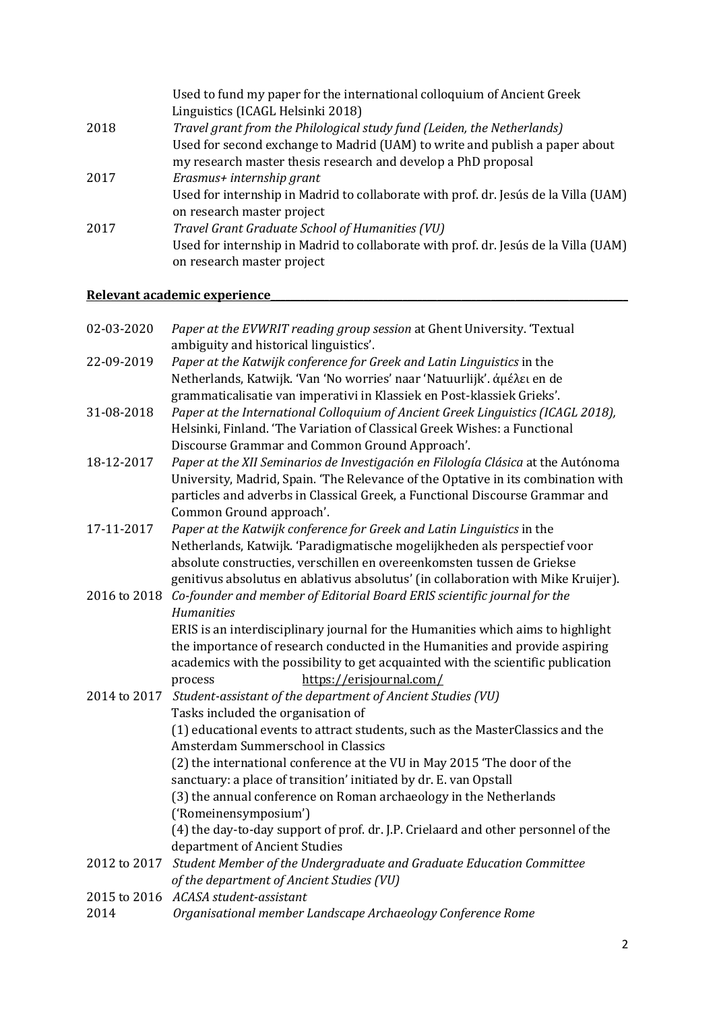|      | Used to fund my paper for the international colloquium of Ancient Greek                                           |
|------|-------------------------------------------------------------------------------------------------------------------|
|      | Linguistics (ICAGL Helsinki 2018)                                                                                 |
| 2018 | Travel grant from the Philological study fund (Leiden, the Netherlands)                                           |
|      | Used for second exchange to Madrid (UAM) to write and publish a paper about                                       |
|      | my research master thesis research and develop a PhD proposal                                                     |
| 2017 | Erasmus+ internship grant                                                                                         |
|      | Used for internship in Madrid to collaborate with prof. dr. Jesús de la Villa (UAM)<br>on research master project |
| 2017 | Travel Grant Graduate School of Humanities (VU)                                                                   |
|      | Used for internship in Madrid to collaborate with prof. dr. Jesús de la Villa (UAM)<br>on research master project |
|      |                                                                                                                   |

# Relevant academic experience

| 02-03-2020           | Paper at the EVWRIT reading group session at Ghent University. 'Textual<br>ambiguity and historical linguistics'.                                                                                                                                                                                                                    |
|----------------------|--------------------------------------------------------------------------------------------------------------------------------------------------------------------------------------------------------------------------------------------------------------------------------------------------------------------------------------|
| 22-09-2019           | Paper at the Katwijk conference for Greek and Latin Linguistics in the<br>Netherlands, Katwijk. 'Van 'No worries' naar 'Natuurlijk'. άμέλει en de                                                                                                                                                                                    |
| 31-08-2018           | grammaticalisatie van imperativi in Klassiek en Post-klassiek Grieks'.<br>Paper at the International Colloquium of Ancient Greek Linguistics (ICAGL 2018),<br>Helsinki, Finland. 'The Variation of Classical Greek Wishes: a Functional                                                                                              |
| 18-12-2017           | Discourse Grammar and Common Ground Approach'.<br>Paper at the XII Seminarios de Investigación en Filología Clásica at the Autónoma<br>University, Madrid, Spain. 'The Relevance of the Optative in its combination with<br>particles and adverbs in Classical Greek, a Functional Discourse Grammar and<br>Common Ground approach'. |
| 17-11-2017           | Paper at the Katwijk conference for Greek and Latin Linguistics in the<br>Netherlands, Katwijk. 'Paradigmatische mogelijkheden als perspectief voor<br>absolute constructies, verschillen en overeenkomsten tussen de Griekse<br>genitivus absolutus en ablativus absolutus' (in collaboration with Mike Kruijer).                   |
|                      | 2016 to 2018 Co-founder and member of Editorial Board ERIS scientific journal for the<br><b>Humanities</b>                                                                                                                                                                                                                           |
|                      | ERIS is an interdisciplinary journal for the Humanities which aims to highlight<br>the importance of research conducted in the Humanities and provide aspiring<br>academics with the possibility to get acquainted with the scientific publication<br>https://erisjournal.com/<br>process                                            |
| 2014 to 2017         | Student-assistant of the department of Ancient Studies (VU)                                                                                                                                                                                                                                                                          |
|                      | Tasks included the organisation of<br>(1) educational events to attract students, such as the MasterClassics and the<br>Amsterdam Summerschool in Classics                                                                                                                                                                           |
|                      | (2) the international conference at the VU in May 2015 'The door of the<br>sanctuary: a place of transition' initiated by dr. E. van Opstall                                                                                                                                                                                         |
|                      | (3) the annual conference on Roman archaeology in the Netherlands<br>('Romeinensymposium')                                                                                                                                                                                                                                           |
|                      | (4) the day-to-day support of prof. dr. J.P. Crielaard and other personnel of the<br>department of Ancient Studies                                                                                                                                                                                                                   |
| 2012 to 2017         | Student Member of the Undergraduate and Graduate Education Committee<br>of the department of Ancient Studies (VU)                                                                                                                                                                                                                    |
| 2015 to 2016<br>2014 | ACASA student-assistant<br>Organisational member Landscape Archaeology Conference Rome                                                                                                                                                                                                                                               |